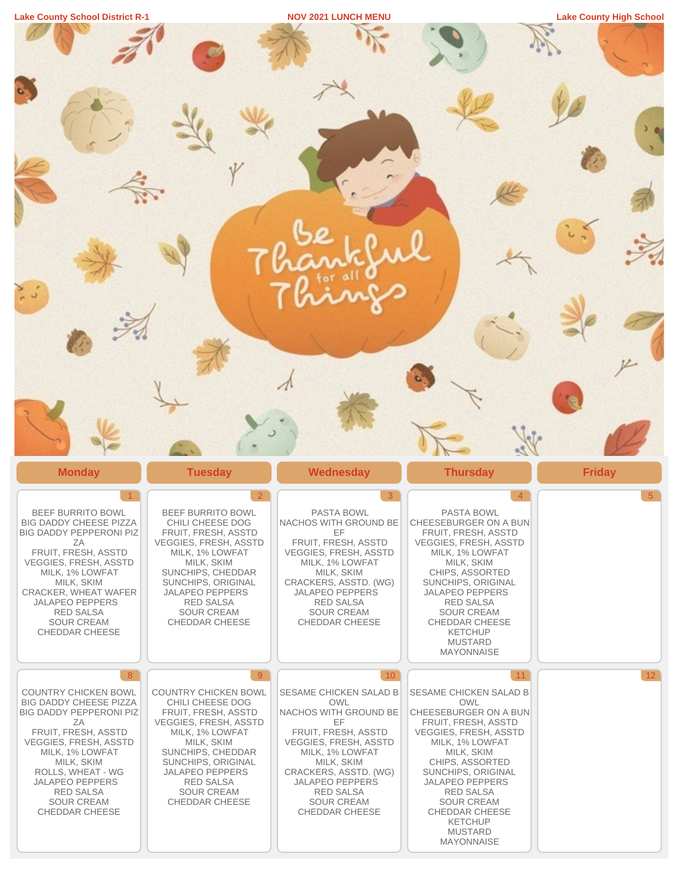| $\bullet$<br>$\frac{1}{2}$                                                                                                                                                                                                                                                                       |                                                                                                                                                                                                                                                                           |                                                                                                                                                                                                                                                                     |                                                                                                                                                                                                                                                                                                                                |                |
|--------------------------------------------------------------------------------------------------------------------------------------------------------------------------------------------------------------------------------------------------------------------------------------------------|---------------------------------------------------------------------------------------------------------------------------------------------------------------------------------------------------------------------------------------------------------------------------|---------------------------------------------------------------------------------------------------------------------------------------------------------------------------------------------------------------------------------------------------------------------|--------------------------------------------------------------------------------------------------------------------------------------------------------------------------------------------------------------------------------------------------------------------------------------------------------------------------------|----------------|
| <b>Monday</b>                                                                                                                                                                                                                                                                                    | <b>Tuesday</b>                                                                                                                                                                                                                                                            | <b>Wednesday</b>                                                                                                                                                                                                                                                    | <b>Thursday</b>                                                                                                                                                                                                                                                                                                                | <b>Friday</b>  |
| <b>BEEF BURRITO BOWL</b><br>BIG DADDY CHEESE PIZZA<br><b>BIG DADDY PEPPERONI PIZ</b><br>ΖA<br>FRUIT, FRESH, ASSTD<br>VEGGIES, FRESH, ASSTD<br>MILK, 1% LOWFAT<br>MILK, SKIM<br>CRACKER, WHEAT WAFER<br><b>JALAPEÑO PEPPERS</b><br><b>RED SALSA</b><br><b>SOUR CREAM</b><br><b>CHEDDAR CHEESE</b> | $\overline{2}$<br>BEEF BURRITO BOWL<br>CHILI CHEESE DOG<br>FRUIT, FRESH, ASSTD<br>VEGGIES, FRESH, ASSTD<br>MILK, 1% LOWFAT<br>MILK, SKIM<br>SUNCHIPS, CHEDDAR<br>SUNCHIPS, ORIGINAL<br>JALAPEÑO PEPPERS<br><b>RED SALSA</b><br><b>SOUR CREAM</b><br><b>CHEDDAR CHEESE</b> | 3 <sup>°</sup><br>PASTA BOWL<br>NACHOS WITH GROUND BE<br>EF.<br>FRUIT, FRESH, ASSTD<br>VEGGIES, FRESH, ASSTD<br>MILK, 1% LOWFAT<br>MILK, SKIM<br>CRACKERS, ASSTD. (WG)<br><b>JALAPEÑO PEPPERS</b><br><b>RED SALSA</b><br><b>SOUR CREAM</b><br><b>CHEDDAR CHEESE</b> | $\overline{4}$<br>PASTA BOWL<br>CHEESEBURGER ON A BUN<br>FRUIT, FRESH, ASSTD<br>VEGGIES, FRESH, ASSTD<br>MILK, 1% LOWFAT<br>MILK, SKIM<br>CHIPS, ASSORTED<br>SUNCHIPS, ORIGINAL<br>JALAPEÑO PEPPERS<br><b>RED SALSA</b><br><b>SOUR CREAM</b><br><b>CHEDDAR CHEESE</b><br><b>KETCHUP</b><br><b>MUSTARD</b><br><b>MAYONNAISE</b> | 5 <sup>5</sup> |
| 8 <sup>°</sup><br><b>COUNTRY CHICKEN BOWL</b><br><b>BIG DADDY CHEESE PIZZA</b>                                                                                                                                                                                                                   | 9<br>COUNTRY CHICKEN BOWL<br>CHILI CHEESE DOG                                                                                                                                                                                                                             | 10<br>SESAME CHICKEN SALAD B<br><b>OWL</b>                                                                                                                                                                                                                          | 11<br><b>SESAME CHICKEN SALAD B</b><br><b>OWL</b>                                                                                                                                                                                                                                                                              | 12             |
| BIG DADDY PEPPERONI PIZ<br>ΖA<br>FRUIT, FRESH, ASSTD<br><b>VEGGIES, FRESH, ASSTD</b><br>MILK, 1% LOWFAT<br>MILK, SKIM<br>ROLLS, WHEAT - WG<br>JALAPEÑO PEPPERS<br><b>RED SALSA</b><br><b>SOUR CREAM</b><br>CHEDDAR CHEESE                                                                        | FRUIT, FRESH, ASSTD<br><b>VEGGIES, FRESH, ASSTD</b><br>MILK, 1% LOWFAT<br>MILK, SKIM<br>SUNCHIPS, CHEDDAR<br>SUNCHIPS, ORIGINAL<br>JALAPEÑO PEPPERS<br>RED SALSA<br><b>SOUR CREAM</b><br><b>CHEDDAR CHEESE</b>                                                            | NACHOS WITH GROUND BE<br><b>EF</b><br>FRUIT, FRESH, ASSTD<br><b>VEGGIES, FRESH, ASSTD</b><br>MILK, 1% LOWFAT<br>MILK, SKIM<br>CRACKERS, ASSTD. (WG)<br>JALAPEÑO PEPPERS<br><b>RED SALSA</b><br><b>SOUR CREAM</b><br>CHEDDAR CHEESE                                  | CHEESEBURGER ON A BUN<br>FRUIT, FRESH, ASSTD<br>VEGGIES, FRESH, ASSTD<br>MILK, 1% LOWFAT<br>MILK, SKIM<br>CHIPS, ASSORTED<br>SUNCHIPS, ORIGINAL<br><b>JALAPEÑO PEPPERS</b><br><b>RED SALSA</b><br><b>SOUR CREAM</b><br><b>CHEDDAR CHEESE</b><br><b>KETCHUP</b><br><b>MUSTARD</b><br><b>MAYONNAISE</b>                          |                |